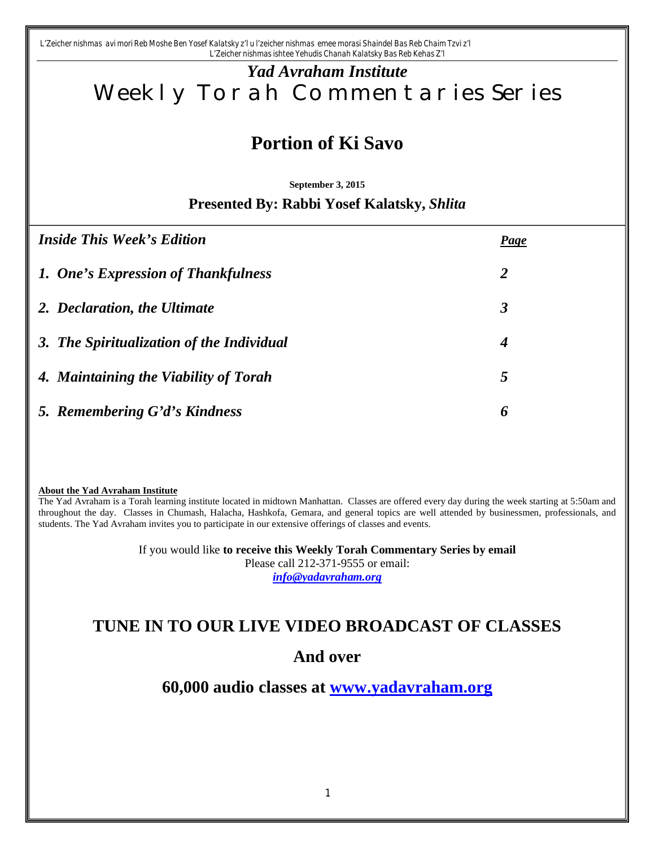*L'Zeicher nishmas avi mori Reb Moshe Ben Yosef Kalatsky z'l u l'zeicher nishmas emee morasi Shaindel Bas Reb Chaim Tzvi z'l L'Zeicher nishmas ishtee Yehudis Chanah Kalatsky Bas Reb Kehas Z'l*

# *Yad Avraham Institute* Weekly Torah Commentaries Series

# **Portion of Ki Savo**

**September 3, 2015**

#### **Presented By: Rabbi Yosef Kalatsky,** *Shlita*

| <b>Inside This Week's Edition</b>         | <b>Page</b>          |
|-------------------------------------------|----------------------|
| 1. One's Expression of Thankfulness       | 2                    |
| 2. Declaration, the Ultimate              | $\boldsymbol{\beta}$ |
| 3. The Spiritualization of the Individual | 4                    |
| 4. Maintaining the Viability of Torah     | 5                    |
| 5. Remembering G'd's Kindness             | 6                    |

#### **About the Yad Avraham Institute**

The Yad Avraham is a Torah learning institute located in midtown Manhattan. Classes are offered every day during the week starting at 5:50am and throughout the day. Classes in Chumash, Halacha, Hashkofa, Gemara, and general topics are well attended by businessmen, professionals, and students. The Yad Avraham invites you to participate in our extensive offerings of classes and events.

> If you would like **to receive this Weekly Torah Commentary Series by email** Please call 212-371-9555 or email: *info@yadavraham.org*

## **TUNE IN TO OUR LIVE VIDEO BROADCAST OF CLASSES**

## **And over**

**60,000 audio classes at www.yadavraham.org**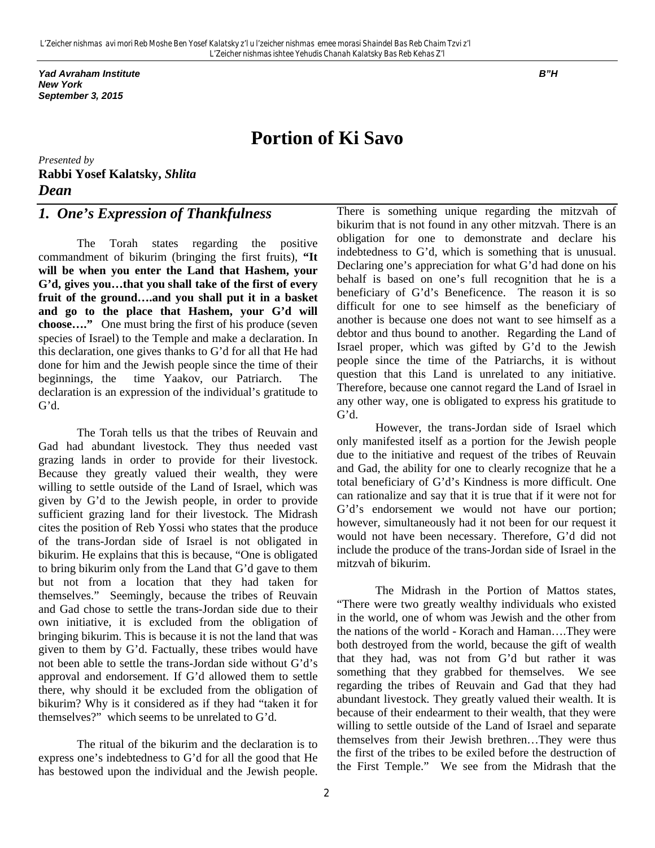*Yad Avraham Institute B"H New York September 3, 2015*

## **Portion of Ki Savo**

*Presented by* **Rabbi Yosef Kalatsky,** *Shlita Dean* 

## *1. One's Expression of Thankfulness*

The Torah states regarding the positive commandment of bikurim (bringing the first fruits), **"It will be when you enter the Land that Hashem, your G'd, gives you…that you shall take of the first of every fruit of the ground….and you shall put it in a basket and go to the place that Hashem, your G'd will choose…."** One must bring the first of his produce (seven species of Israel) to the Temple and make a declaration. In this declaration, one gives thanks to G'd for all that He had done for him and the Jewish people since the time of their beginnings, the time Yaakov, our Patriarch. The declaration is an expression of the individual's gratitude to G'd.

The Torah tells us that the tribes of Reuvain and Gad had abundant livestock. They thus needed vast grazing lands in order to provide for their livestock. Because they greatly valued their wealth, they were willing to settle outside of the Land of Israel, which was given by G'd to the Jewish people, in order to provide sufficient grazing land for their livestock. The Midrash cites the position of Reb Yossi who states that the produce of the trans-Jordan side of Israel is not obligated in bikurim. He explains that this is because, "One is obligated to bring bikurim only from the Land that G'd gave to them but not from a location that they had taken for themselves." Seemingly, because the tribes of Reuvain and Gad chose to settle the trans-Jordan side due to their own initiative, it is excluded from the obligation of bringing bikurim. This is because it is not the land that was given to them by G'd. Factually, these tribes would have not been able to settle the trans-Jordan side without G'd's approval and endorsement. If G'd allowed them to settle there, why should it be excluded from the obligation of bikurim? Why is it considered as if they had "taken it for themselves?" which seems to be unrelated to G'd.

The ritual of the bikurim and the declaration is to express one's indebtedness to G'd for all the good that He has bestowed upon the individual and the Jewish people.

There is something unique regarding the mitzvah of bikurim that is not found in any other mitzvah. There is an obligation for one to demonstrate and declare his indebtedness to G'd, which is something that is unusual. Declaring one's appreciation for what G'd had done on his behalf is based on one's full recognition that he is a beneficiary of G'd's Beneficence. The reason it is so difficult for one to see himself as the beneficiary of another is because one does not want to see himself as a debtor and thus bound to another. Regarding the Land of Israel proper, which was gifted by G'd to the Jewish people since the time of the Patriarchs, it is without question that this Land is unrelated to any initiative. Therefore, because one cannot regard the Land of Israel in any other way, one is obligated to express his gratitude to G'd.

However, the trans-Jordan side of Israel which only manifested itself as a portion for the Jewish people due to the initiative and request of the tribes of Reuvain and Gad, the ability for one to clearly recognize that he a total beneficiary of G'd's Kindness is more difficult. One can rationalize and say that it is true that if it were not for G'd's endorsement we would not have our portion; however, simultaneously had it not been for our request it would not have been necessary. Therefore, G'd did not include the produce of the trans-Jordan side of Israel in the mitzvah of bikurim.

The Midrash in the Portion of Mattos states, "There were two greatly wealthy individuals who existed in the world, one of whom was Jewish and the other from the nations of the world - Korach and Haman….They were both destroyed from the world, because the gift of wealth that they had, was not from G'd but rather it was something that they grabbed for themselves. We see regarding the tribes of Reuvain and Gad that they had abundant livestock. They greatly valued their wealth. It is because of their endearment to their wealth, that they were willing to settle outside of the Land of Israel and separate themselves from their Jewish brethren…They were thus the first of the tribes to be exiled before the destruction of the First Temple." We see from the Midrash that the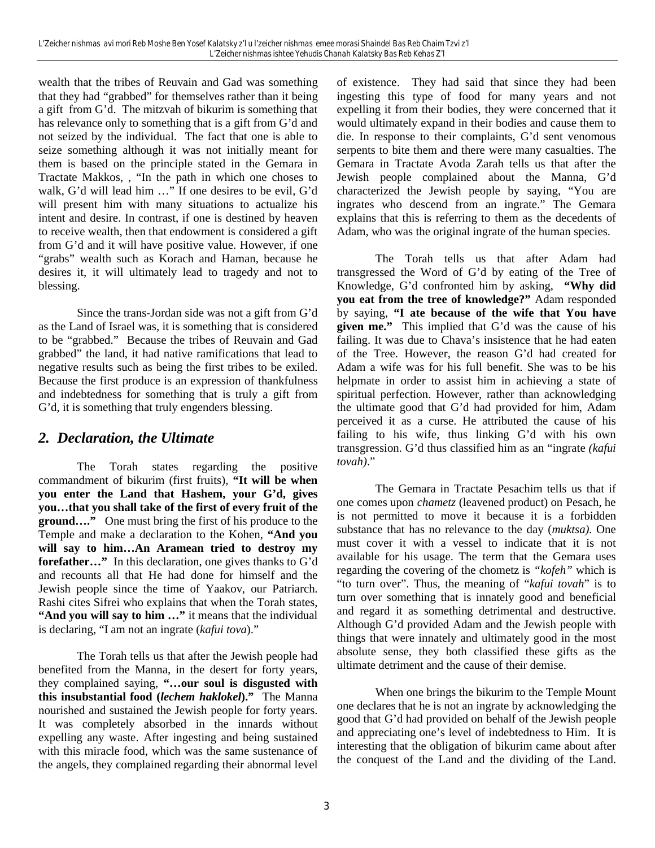wealth that the tribes of Reuvain and Gad was something that they had "grabbed" for themselves rather than it being a gift from G'd. The mitzvah of bikurim is something that has relevance only to something that is a gift from G'd and not seized by the individual. The fact that one is able to seize something although it was not initially meant for them is based on the principle stated in the Gemara in Tractate Makkos, , "In the path in which one choses to walk, G'd will lead him …" If one desires to be evil, G'd will present him with many situations to actualize his intent and desire. In contrast, if one is destined by heaven to receive wealth, then that endowment is considered a gift from G'd and it will have positive value. However, if one "grabs" wealth such as Korach and Haman, because he desires it, it will ultimately lead to tragedy and not to blessing.

Since the trans-Jordan side was not a gift from G'd as the Land of Israel was, it is something that is considered to be "grabbed." Because the tribes of Reuvain and Gad grabbed" the land, it had native ramifications that lead to negative results such as being the first tribes to be exiled. Because the first produce is an expression of thankfulness and indebtedness for something that is truly a gift from G'd, it is something that truly engenders blessing.

#### *2. Declaration, the Ultimate*

The Torah states regarding the positive commandment of bikurim (first fruits), **"It will be when you enter the Land that Hashem, your G'd, gives you…that you shall take of the first of every fruit of the ground…."** One must bring the first of his produce to the Temple and make a declaration to the Kohen, **"And you will say to him…An Aramean tried to destroy my forefather…"** In this declaration, one gives thanks to G'd and recounts all that He had done for himself and the Jewish people since the time of Yaakov, our Patriarch. Rashi cites Sifrei who explains that when the Torah states, "And you will say to him ..." it means that the individual is declaring, "I am not an ingrate (*kafui tova*)."

The Torah tells us that after the Jewish people had benefited from the Manna, in the desert for forty years, they complained saying, **"…our soul is disgusted with this insubstantial food (***lechem haklokel***)."** The Manna nourished and sustained the Jewish people for forty years. It was completely absorbed in the innards without expelling any waste. After ingesting and being sustained with this miracle food, which was the same sustenance of the angels, they complained regarding their abnormal level

of existence. They had said that since they had been ingesting this type of food for many years and not expelling it from their bodies, they were concerned that it would ultimately expand in their bodies and cause them to die. In response to their complaints, G'd sent venomous serpents to bite them and there were many casualties. The Gemara in Tractate Avoda Zarah tells us that after the Jewish people complained about the Manna, G'd characterized the Jewish people by saying, "You are ingrates who descend from an ingrate." The Gemara explains that this is referring to them as the decedents of Adam, who was the original ingrate of the human species.

The Torah tells us that after Adam had transgressed the Word of G'd by eating of the Tree of Knowledge, G'd confronted him by asking, **"Why did you eat from the tree of knowledge?"** Adam responded by saying, **"I ate because of the wife that You have given me."** This implied that G'd was the cause of his failing. It was due to Chava's insistence that he had eaten of the Tree. However, the reason G'd had created for Adam a wife was for his full benefit. She was to be his helpmate in order to assist him in achieving a state of spiritual perfection. However, rather than acknowledging the ultimate good that G'd had provided for him, Adam perceived it as a curse. He attributed the cause of his failing to his wife, thus linking G'd with his own transgression. G'd thus classified him as an "ingrate *(kafui tovah)*."

The Gemara in Tractate Pesachim tells us that if one comes upon *chametz* (leavened product) on Pesach, he is not permitted to move it because it is a forbidden substance that has no relevance to the day (*muktsa).* One must cover it with a vessel to indicate that it is not available for his usage. The term that the Gemara uses regarding the covering of the chometz is *"kofeh"* which is "to turn over". Thus, the meaning of "*kafui tovah*" is to turn over something that is innately good and beneficial and regard it as something detrimental and destructive. Although G'd provided Adam and the Jewish people with things that were innately and ultimately good in the most absolute sense, they both classified these gifts as the ultimate detriment and the cause of their demise.

When one brings the bikurim to the Temple Mount one declares that he is not an ingrate by acknowledging the good that G'd had provided on behalf of the Jewish people and appreciating one's level of indebtedness to Him. It is interesting that the obligation of bikurim came about after the conquest of the Land and the dividing of the Land.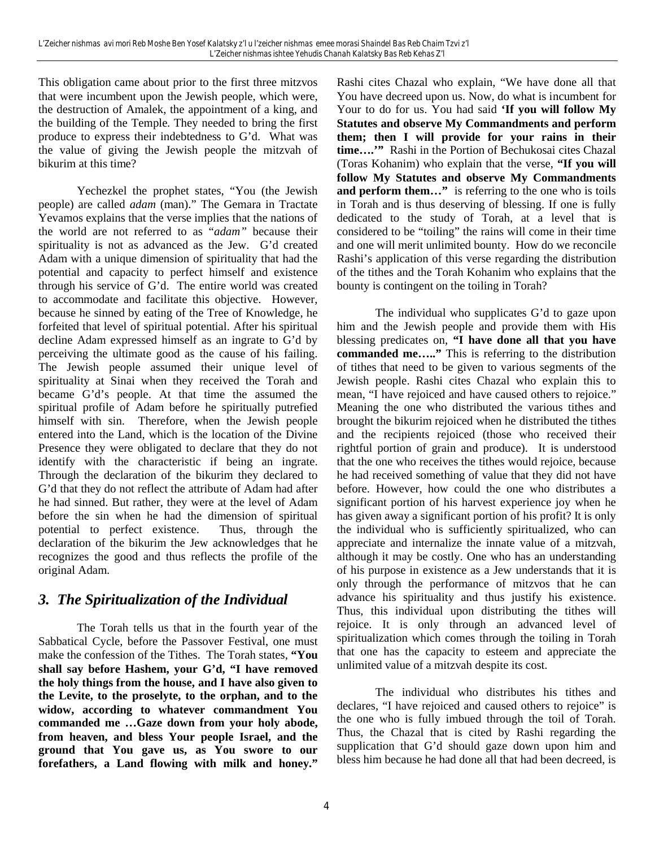This obligation came about prior to the first three mitzvos that were incumbent upon the Jewish people, which were, the destruction of Amalek, the appointment of a king, and the building of the Temple. They needed to bring the first produce to express their indebtedness to G'd. What was the value of giving the Jewish people the mitzvah of bikurim at this time?

Yechezkel the prophet states, "You (the Jewish people) are called *adam* (man)." The Gemara in Tractate Yevamos explains that the verse implies that the nations of the world are not referred to as "*adam"* because their spirituality is not as advanced as the Jew. G'd created Adam with a unique dimension of spirituality that had the potential and capacity to perfect himself and existence through his service of G'd. The entire world was created to accommodate and facilitate this objective. However, because he sinned by eating of the Tree of Knowledge, he forfeited that level of spiritual potential. After his spiritual decline Adam expressed himself as an ingrate to G'd by perceiving the ultimate good as the cause of his failing. The Jewish people assumed their unique level of spirituality at Sinai when they received the Torah and became G'd's people. At that time the assumed the spiritual profile of Adam before he spiritually putrefied himself with sin. Therefore, when the Jewish people entered into the Land, which is the location of the Divine Presence they were obligated to declare that they do not identify with the characteristic if being an ingrate. Through the declaration of the bikurim they declared to G'd that they do not reflect the attribute of Adam had after he had sinned. But rather, they were at the level of Adam before the sin when he had the dimension of spiritual potential to perfect existence. Thus, through the declaration of the bikurim the Jew acknowledges that he recognizes the good and thus reflects the profile of the original Adam.

## *3. The Spiritualization of the Individual*

The Torah tells us that in the fourth year of the Sabbatical Cycle, before the Passover Festival, one must make the confession of the Tithes. The Torah states, **"You shall say before Hashem, your G'd, "I have removed the holy things from the house, and I have also given to the Levite, to the proselyte, to the orphan, and to the widow, according to whatever commandment You commanded me …Gaze down from your holy abode, from heaven, and bless Your people Israel, and the ground that You gave us, as You swore to our forefathers, a Land flowing with milk and honey."**

Rashi cites Chazal who explain, "We have done all that You have decreed upon us. Now, do what is incumbent for Your to do for us. You had said **'If you will follow My Statutes and observe My Commandments and perform them; then I will provide for your rains in their time….'"** Rashi in the Portion of Bechukosai cites Chazal (Toras Kohanim) who explain that the verse, **"If you will follow My Statutes and observe My Commandments and perform them…"** is referring to the one who is toils in Torah and is thus deserving of blessing. If one is fully dedicated to the study of Torah, at a level that is considered to be "toiling" the rains will come in their time and one will merit unlimited bounty. How do we reconcile Rashi's application of this verse regarding the distribution of the tithes and the Torah Kohanim who explains that the bounty is contingent on the toiling in Torah?

The individual who supplicates G'd to gaze upon him and the Jewish people and provide them with His blessing predicates on, **"I have done all that you have commanded me….."** This is referring to the distribution of tithes that need to be given to various segments of the Jewish people. Rashi cites Chazal who explain this to mean, "I have rejoiced and have caused others to rejoice." Meaning the one who distributed the various tithes and brought the bikurim rejoiced when he distributed the tithes and the recipients rejoiced (those who received their rightful portion of grain and produce). It is understood that the one who receives the tithes would rejoice, because he had received something of value that they did not have before. However, how could the one who distributes a significant portion of his harvest experience joy when he has given away a significant portion of his profit? It is only the individual who is sufficiently spiritualized, who can appreciate and internalize the innate value of a mitzvah, although it may be costly. One who has an understanding of his purpose in existence as a Jew understands that it is only through the performance of mitzvos that he can advance his spirituality and thus justify his existence. Thus, this individual upon distributing the tithes will rejoice. It is only through an advanced level of spiritualization which comes through the toiling in Torah that one has the capacity to esteem and appreciate the unlimited value of a mitzvah despite its cost.

The individual who distributes his tithes and declares, "I have rejoiced and caused others to rejoice" is the one who is fully imbued through the toil of Torah. Thus, the Chazal that is cited by Rashi regarding the supplication that G'd should gaze down upon him and bless him because he had done all that had been decreed, is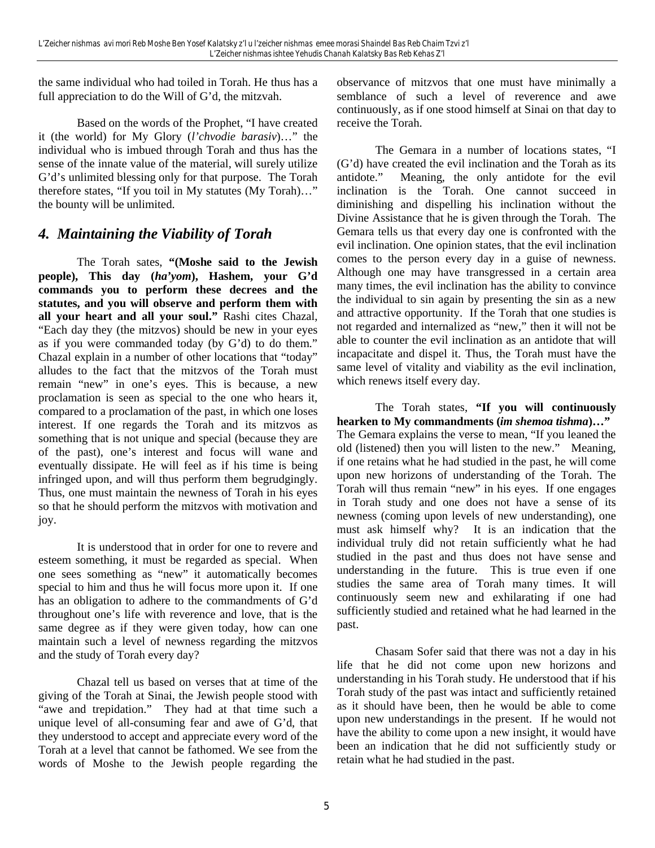the same individual who had toiled in Torah. He thus has a full appreciation to do the Will of G'd, the mitzvah.

Based on the words of the Prophet, "I have created it (the world) for My Glory (*l'chvodie barasiv*)…" the individual who is imbued through Torah and thus has the sense of the innate value of the material, will surely utilize G'd's unlimited blessing only for that purpose. The Torah therefore states, "If you toil in My statutes (My Torah)…" the bounty will be unlimited.

#### *4. Maintaining the Viability of Torah*

The Torah sates, **"(Moshe said to the Jewish people), This day (***ha'yom***), Hashem, your G'd commands you to perform these decrees and the statutes, and you will observe and perform them with all your heart and all your soul."** Rashi cites Chazal, "Each day they (the mitzvos) should be new in your eyes as if you were commanded today (by G'd) to do them." Chazal explain in a number of other locations that "today" alludes to the fact that the mitzvos of the Torah must remain "new" in one's eyes. This is because, a new proclamation is seen as special to the one who hears it, compared to a proclamation of the past, in which one loses interest. If one regards the Torah and its mitzvos as something that is not unique and special (because they are of the past), one's interest and focus will wane and eventually dissipate. He will feel as if his time is being infringed upon, and will thus perform them begrudgingly. Thus, one must maintain the newness of Torah in his eyes so that he should perform the mitzvos with motivation and joy.

It is understood that in order for one to revere and esteem something, it must be regarded as special. When one sees something as "new" it automatically becomes special to him and thus he will focus more upon it. If one has an obligation to adhere to the commandments of G'd throughout one's life with reverence and love, that is the same degree as if they were given today, how can one maintain such a level of newness regarding the mitzvos and the study of Torah every day?

Chazal tell us based on verses that at time of the giving of the Torah at Sinai, the Jewish people stood with "awe and trepidation." They had at that time such a unique level of all-consuming fear and awe of G'd, that they understood to accept and appreciate every word of the Torah at a level that cannot be fathomed. We see from the words of Moshe to the Jewish people regarding the

observance of mitzvos that one must have minimally a semblance of such a level of reverence and awe continuously, as if one stood himself at Sinai on that day to receive the Torah.

The Gemara in a number of locations states, "I (G'd) have created the evil inclination and the Torah as its antidote." Meaning, the only antidote for the evil inclination is the Torah. One cannot succeed in diminishing and dispelling his inclination without the Divine Assistance that he is given through the Torah. The Gemara tells us that every day one is confronted with the evil inclination. One opinion states, that the evil inclination comes to the person every day in a guise of newness. Although one may have transgressed in a certain area many times, the evil inclination has the ability to convince the individual to sin again by presenting the sin as a new and attractive opportunity. If the Torah that one studies is not regarded and internalized as "new," then it will not be able to counter the evil inclination as an antidote that will incapacitate and dispel it. Thus, the Torah must have the same level of vitality and viability as the evil inclination, which renews itself every day.

The Torah states, **"If you will continuously hearken to My commandments (***im shemoa tishma***)…"** The Gemara explains the verse to mean, "If you leaned the old (listened) then you will listen to the new." Meaning, if one retains what he had studied in the past, he will come upon new horizons of understanding of the Torah. The Torah will thus remain "new" in his eyes. If one engages in Torah study and one does not have a sense of its newness (coming upon levels of new understanding), one must ask himself why? It is an indication that the individual truly did not retain sufficiently what he had studied in the past and thus does not have sense and understanding in the future. This is true even if one studies the same area of Torah many times. It will continuously seem new and exhilarating if one had sufficiently studied and retained what he had learned in the past.

Chasam Sofer said that there was not a day in his life that he did not come upon new horizons and understanding in his Torah study. He understood that if his Torah study of the past was intact and sufficiently retained as it should have been, then he would be able to come upon new understandings in the present. If he would not have the ability to come upon a new insight, it would have been an indication that he did not sufficiently study or retain what he had studied in the past.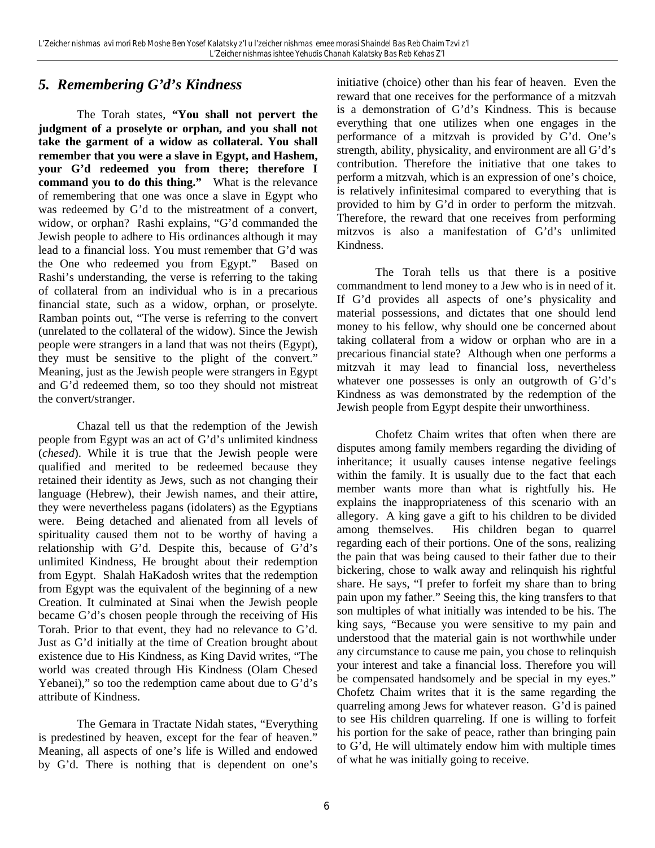#### *5. Remembering G'd's Kindness*

The Torah states, **"You shall not pervert the judgment of a proselyte or orphan, and you shall not take the garment of a widow as collateral. You shall remember that you were a slave in Egypt, and Hashem, your G'd redeemed you from there; therefore I command you to do this thing."** What is the relevance of remembering that one was once a slave in Egypt who was redeemed by G'd to the mistreatment of a convert, widow, or orphan? Rashi explains, "G'd commanded the Jewish people to adhere to His ordinances although it may lead to a financial loss. You must remember that G'd was the One who redeemed you from Egypt." Based on Rashi's understanding, the verse is referring to the taking of collateral from an individual who is in a precarious financial state, such as a widow, orphan, or proselyte. Ramban points out, "The verse is referring to the convert (unrelated to the collateral of the widow). Since the Jewish people were strangers in a land that was not theirs (Egypt), they must be sensitive to the plight of the convert." Meaning, just as the Jewish people were strangers in Egypt and G'd redeemed them, so too they should not mistreat the convert/stranger.

Chazal tell us that the redemption of the Jewish people from Egypt was an act of G'd's unlimited kindness (*chesed*). While it is true that the Jewish people were qualified and merited to be redeemed because they retained their identity as Jews, such as not changing their language (Hebrew), their Jewish names, and their attire, they were nevertheless pagans (idolaters) as the Egyptians were. Being detached and alienated from all levels of spirituality caused them not to be worthy of having a relationship with G'd. Despite this, because of G'd's unlimited Kindness, He brought about their redemption from Egypt. Shalah HaKadosh writes that the redemption from Egypt was the equivalent of the beginning of a new Creation. It culminated at Sinai when the Jewish people became G'd's chosen people through the receiving of His Torah. Prior to that event, they had no relevance to G'd. Just as G'd initially at the time of Creation brought about existence due to His Kindness, as King David writes, "The world was created through His Kindness (Olam Chesed Yebanei)," so too the redemption came about due to G'd's attribute of Kindness.

The Gemara in Tractate Nidah states, "Everything is predestined by heaven, except for the fear of heaven." Meaning, all aspects of one's life is Willed and endowed by G'd. There is nothing that is dependent on one's

initiative (choice) other than his fear of heaven. Even the reward that one receives for the performance of a mitzvah is a demonstration of G'd's Kindness. This is because everything that one utilizes when one engages in the performance of a mitzvah is provided by G'd. One's strength, ability, physicality, and environment are all G'd's contribution. Therefore the initiative that one takes to perform a mitzvah, which is an expression of one's choice, is relatively infinitesimal compared to everything that is provided to him by G'd in order to perform the mitzvah. Therefore, the reward that one receives from performing mitzvos is also a manifestation of G'd's unlimited Kindness.

The Torah tells us that there is a positive commandment to lend money to a Jew who is in need of it. If G'd provides all aspects of one's physicality and material possessions, and dictates that one should lend money to his fellow, why should one be concerned about taking collateral from a widow or orphan who are in a precarious financial state? Although when one performs a mitzvah it may lead to financial loss, nevertheless whatever one possesses is only an outgrowth of G'd's Kindness as was demonstrated by the redemption of the Jewish people from Egypt despite their unworthiness.

Chofetz Chaim writes that often when there are disputes among family members regarding the dividing of inheritance; it usually causes intense negative feelings within the family. It is usually due to the fact that each member wants more than what is rightfully his. He explains the inappropriateness of this scenario with an allegory. A king gave a gift to his children to be divided among themselves. His children began to quarrel regarding each of their portions. One of the sons, realizing the pain that was being caused to their father due to their bickering, chose to walk away and relinquish his rightful share. He says, "I prefer to forfeit my share than to bring pain upon my father." Seeing this, the king transfers to that son multiples of what initially was intended to be his. The king says, "Because you were sensitive to my pain and understood that the material gain is not worthwhile under any circumstance to cause me pain, you chose to relinquish your interest and take a financial loss. Therefore you will be compensated handsomely and be special in my eyes." Chofetz Chaim writes that it is the same regarding the quarreling among Jews for whatever reason. G'd is pained to see His children quarreling. If one is willing to forfeit his portion for the sake of peace, rather than bringing pain to G'd, He will ultimately endow him with multiple times of what he was initially going to receive.